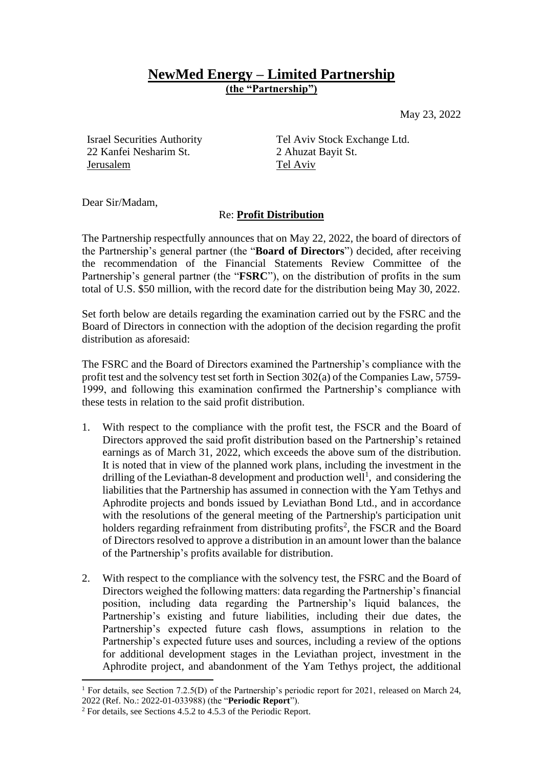## **NewMed Energy – Limited Partnership (the "Partnership")**

May 23, 2022

22 Kanfei Nesharim St. 2 Ahuzat Bayit St. Jerusalem Tel Aviv

Israel Securities Authority Tel Aviv Stock Exchange Ltd.

Dear Sir/Madam,

## Re: **Profit Distribution**

The Partnership respectfully announces that on May 22, 2022, the board of directors of the Partnership's general partner (the "**Board of Directors**") decided, after receiving the recommendation of the Financial Statements Review Committee of the Partnership's general partner (the "**FSRC**"), on the distribution of profits in the sum total of U.S. \$50 million, with the record date for the distribution being May 30, 2022.

Set forth below are details regarding the examination carried out by the FSRC and the Board of Directors in connection with the adoption of the decision regarding the profit distribution as aforesaid:

The FSRC and the Board of Directors examined the Partnership's compliance with the profit test and the solvency test set forth in Section 302(a) of the Companies Law, 5759- 1999, and following this examination confirmed the Partnership's compliance with these tests in relation to the said profit distribution.

- 1. With respect to the compliance with the profit test, the FSCR and the Board of Directors approved the said profit distribution based on the Partnership's retained earnings as of March 31, 2022, which exceeds the above sum of the distribution. It is noted that in view of the planned work plans, including the investment in the drilling of the Leviathan-8 development and production well<sup>1</sup>, and considering the liabilities that the Partnership has assumed in connection with the Yam Tethys and Aphrodite projects and bonds issued by Leviathan Bond Ltd., and in accordance with the resolutions of the general meeting of the Partnership's participation unit holders regarding refrainment from distributing profits<sup>2</sup>, the FSCR and the Board of Directors resolved to approve a distribution in an amount lower than the balance of the Partnership's profits available for distribution.
- 2. With respect to the compliance with the solvency test, the FSRC and the Board of Directors weighed the following matters: data regarding the Partnership's financial position, including data regarding the Partnership's liquid balances, the Partnership's existing and future liabilities, including their due dates, the Partnership's expected future cash flows, assumptions in relation to the Partnership's expected future uses and sources, including a review of the options for additional development stages in the Leviathan project, investment in the Aphrodite project, and abandonment of the Yam Tethys project, the additional

<sup>&</sup>lt;sup>1</sup> For details, see Section 7.2.5(D) of the Partnership's periodic report for 2021, released on March 24, 2022 (Ref. No.: 2022-01-033988) (the "**Periodic Report**").

<sup>2</sup> For details, see Sections 4.5.2 to 4.5.3 of the Periodic Report.